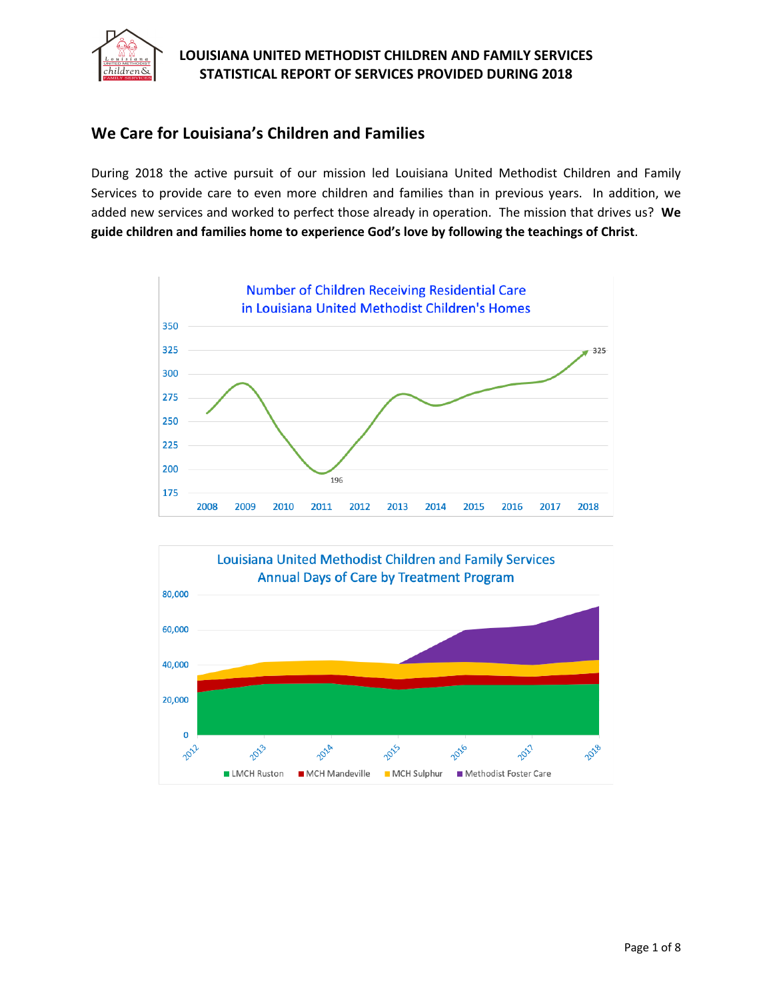

# **We Care for Louisiana's Children and Families**

During 2018 the active pursuit of our mission led Louisiana United Methodist Children and Family Services to provide care to even more children and families than in previous years. In addition, we added new services and worked to perfect those already in operation. The mission that drives us? **We guide children and families home to experience God's love by following the teachings of Christ**.



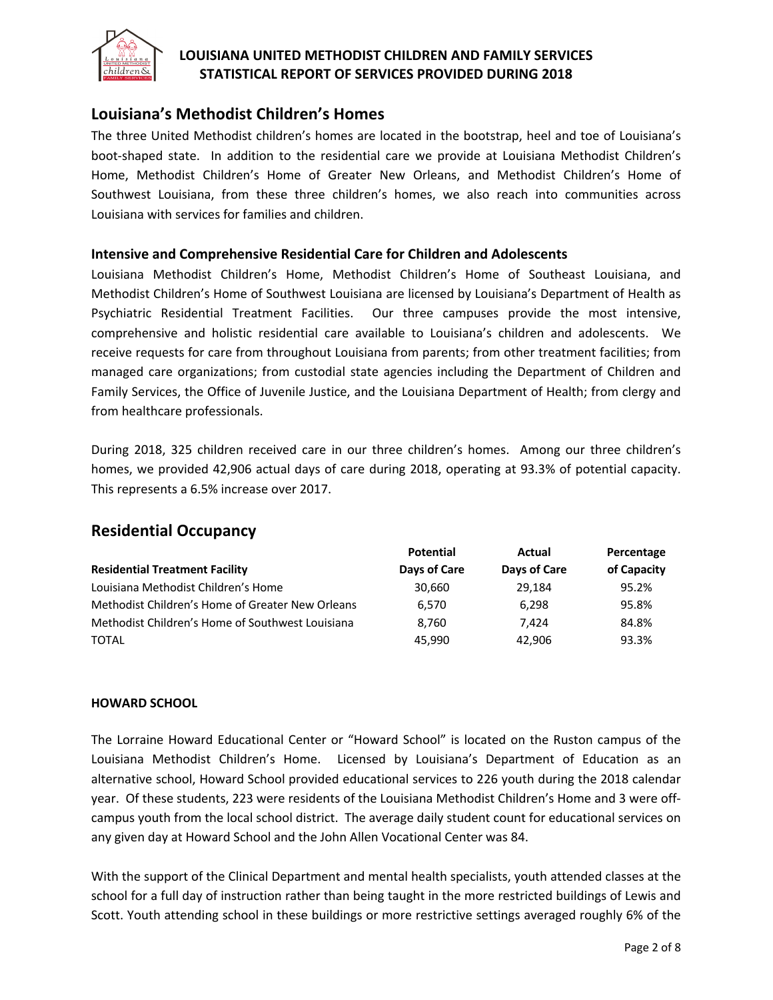

## **Louisiana's Methodist Children's Homes**

The three United Methodist children's homes are located in the bootstrap, heel and toe of Louisiana's boot-shaped state. In addition to the residential care we provide at Louisiana Methodist Children's Home, Methodist Children's Home of Greater New Orleans, and Methodist Children's Home of Southwest Louisiana, from these three children's homes, we also reach into communities across Louisiana with services for families and children.

#### **Intensive and Comprehensive Residential Care for Children and Adolescents**

Louisiana Methodist Children's Home, Methodist Children's Home of Southeast Louisiana, and Methodist Children's Home of Southwest Louisiana are licensed by Louisiana's Department of Health as Psychiatric Residential Treatment Facilities. Our three campuses provide the most intensive, comprehensive and holistic residential care available to Louisiana's children and adolescents. We receive requests for care from throughout Louisiana from parents; from other treatment facilities; from managed care organizations; from custodial state agencies including the Department of Children and Family Services, the Office of Juvenile Justice, and the Louisiana Department of Health; from clergy and from healthcare professionals.

During 2018, 325 children received care in our three children's homes. Among our three children's homes, we provided 42,906 actual days of care during 2018, operating at 93.3% of potential capacity. This represents a 6.5% increase over 2017.

## **Residential Occupancy**

|                                                  | <b>Potential</b> | Actual       | Percentage  |  |
|--------------------------------------------------|------------------|--------------|-------------|--|
| <b>Residential Treatment Facility</b>            | Days of Care     | Days of Care | of Capacity |  |
| Louisiana Methodist Children's Home              | 30.660           | 29.184       | 95.2%       |  |
| Methodist Children's Home of Greater New Orleans | 6.570            | 6,298        | 95.8%       |  |
| Methodist Children's Home of Southwest Louisiana | 8,760            | 7.424        | 84.8%       |  |
| <b>TOTAL</b>                                     | 45.990           | 42.906       | 93.3%       |  |

#### **HOWARD SCHOOL**

The Lorraine Howard Educational Center or "Howard School" is located on the Ruston campus of the Louisiana Methodist Children's Home. Licensed by Louisiana's Department of Education as an alternative school, Howard School provided educational services to 226 youth during the 2018 calendar year. Of these students, 223 were residents of the Louisiana Methodist Children's Home and 3 were offcampus youth from the local school district. The average daily student count for educational services on any given day at Howard School and the John Allen Vocational Center was 84.

With the support of the Clinical Department and mental health specialists, youth attended classes at the school for a full day of instruction rather than being taught in the more restricted buildings of Lewis and Scott. Youth attending school in these buildings or more restrictive settings averaged roughly 6% of the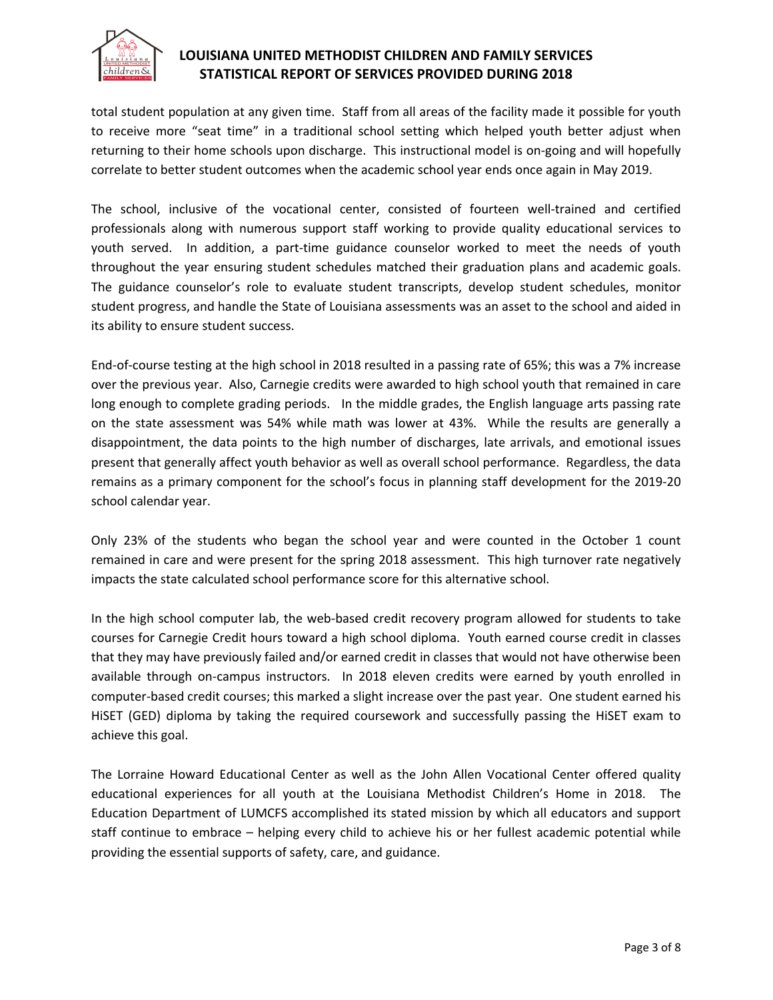

total student population at any given time. Staff from all areas of the facility made it possible for youth to receive more "seat time" in a traditional school setting which helped youth better adjust when returning to their home schools upon discharge. This instructional model is on-going and will hopefully correlate to better student outcomes when the academic school year ends once again in May 2019.

The school, inclusive of the vocational center, consisted of fourteen well-trained and certified professionals along with numerous support staff working to provide quality educational services to youth served. In addition, a part-time guidance counselor worked to meet the needs of youth throughout the year ensuring student schedules matched their graduation plans and academic goals. The guidance counselor's role to evaluate student transcripts, develop student schedules, monitor student progress, and handle the State of Louisiana assessments was an asset to the school and aided in its ability to ensure student success.

End-of-course testing at the high school in 2018 resulted in a passing rate of 65%; this was a 7% increase over the previous year. Also, Carnegie credits were awarded to high school youth that remained in care long enough to complete grading periods. In the middle grades, the English language arts passing rate on the state assessment was 54% while math was lower at 43%. While the results are generally a disappointment, the data points to the high number of discharges, late arrivals, and emotional issues present that generally affect youth behavior as well as overall school performance. Regardless, the data remains as a primary component for the school's focus in planning staff development for the 2019-20 school calendar year.

Only 23% of the students who began the school year and were counted in the October 1 count remained in care and were present for the spring 2018 assessment. This high turnover rate negatively impacts the state calculated school performance score for this alternative school.

In the high school computer lab, the web-based credit recovery program allowed for students to take courses for Carnegie Credit hours toward a high school diploma. Youth earned course credit in classes that they may have previously failed and/or earned credit in classes that would not have otherwise been available through on-campus instructors. In 2018 eleven credits were earned by youth enrolled in computer-based credit courses; this marked a slight increase over the past year. One student earned his HiSET (GED) diploma by taking the required coursework and successfully passing the HiSET exam to achieve this goal.

The Lorraine Howard Educational Center as well as the John Allen Vocational Center offered quality educational experiences for all youth at the Louisiana Methodist Children's Home in 2018. The Education Department of LUMCFS accomplished its stated mission by which all educators and support staff continue to embrace – helping every child to achieve his or her fullest academic potential while providing the essential supports of safety, care, and guidance.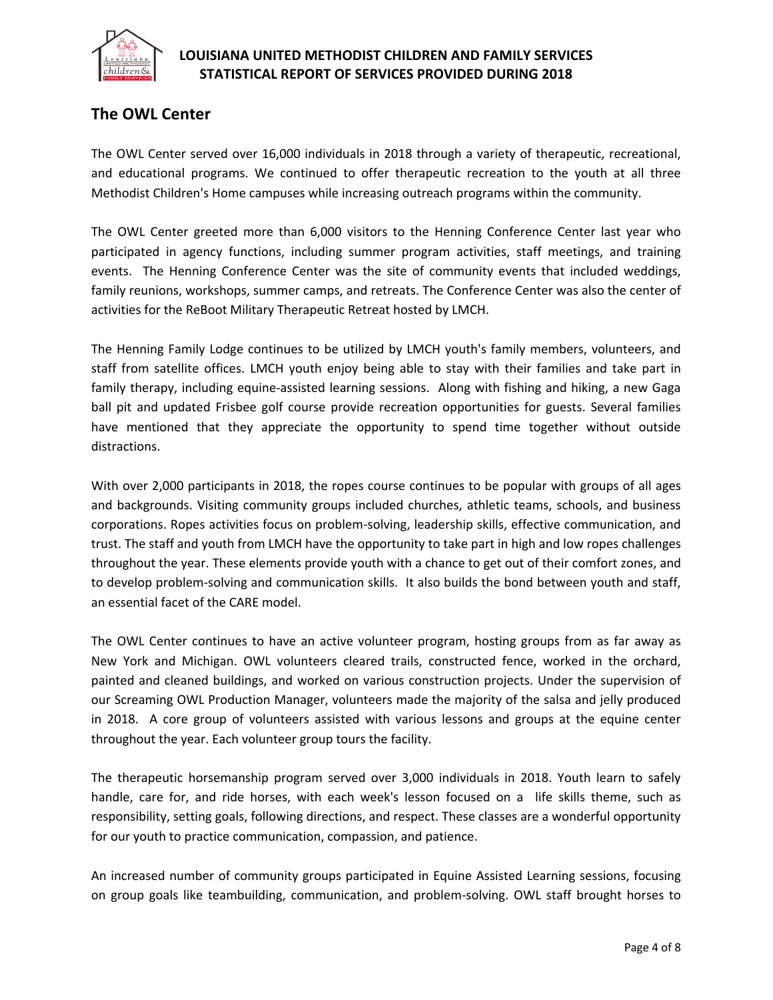

# **The OWL Center**

The OWL Center served over 16,000 individuals in 2018 through a variety of therapeutic, recreational, and educational programs. We continued to offer therapeutic recreation to the youth at all three Methodist Children's Home campuses while increasing outreach programs within the community.

The OWL Center greeted more than 6,000 visitors to the Henning Conference Center last year who participated in agency functions, including summer program activities, staff meetings, and training events. The Henning Conference Center was the site of community events that included weddings, family reunions, workshops, summer camps, and retreats. The Conference Center was also the center of activities for the ReBoot Military Therapeutic Retreat hosted by LMCH.

The Henning Family Lodge continues to be utilized by LMCH youth's family members, volunteers, and staff from satellite offices. LMCH youth enjoy being able to stay with their families and take part in family therapy, including equine-assisted learning sessions. Along with fishing and hiking, a new Gaga ball pit and updated Frisbee golf course provide recreation opportunities for guests. Several families have mentioned that they appreciate the opportunity to spend time together without outside distractions.

With over 2,000 participants in 2018, the ropes course continues to be popular with groups of all ages and backgrounds. Visiting community groups included churches, athletic teams, schools, and business corporations. Ropes activities focus on problem-solving, leadership skills, effective communication, and trust. The staff and youth from LMCH have the opportunity to take part in high and low ropes challenges throughout the year. These elements provide youth with a chance to get out of their comfort zones, and to develop problem-solving and communication skills. It also builds the bond between youth and staff, an essential facet of the CARE model.

The OWL Center continues to have an active volunteer program, hosting groups from as far away as New York and Michigan. OWL volunteers cleared trails, constructed fence, worked in the orchard, painted and cleaned buildings, and worked on various construction projects. Under the supervision of our Screaming OWL Production Manager, volunteers made the majority of the salsa and jelly produced in 2018. A core group of volunteers assisted with various lessons and groups at the equine center throughout the year. Each volunteer group tours the facility.

The therapeutic horsemanship program served over 3,000 individuals in 2018. Youth learn to safely handle, care for, and ride horses, with each week's lesson focused on a life skills theme, such as responsibility, setting goals, following directions, and respect. These classes are a wonderful opportunity for our youth to practice communication, compassion, and patience.

An increased number of community groups participated in Equine Assisted Learning sessions, focusing on group goals like teambuilding, communication, and problem-solving. OWL staff brought horses to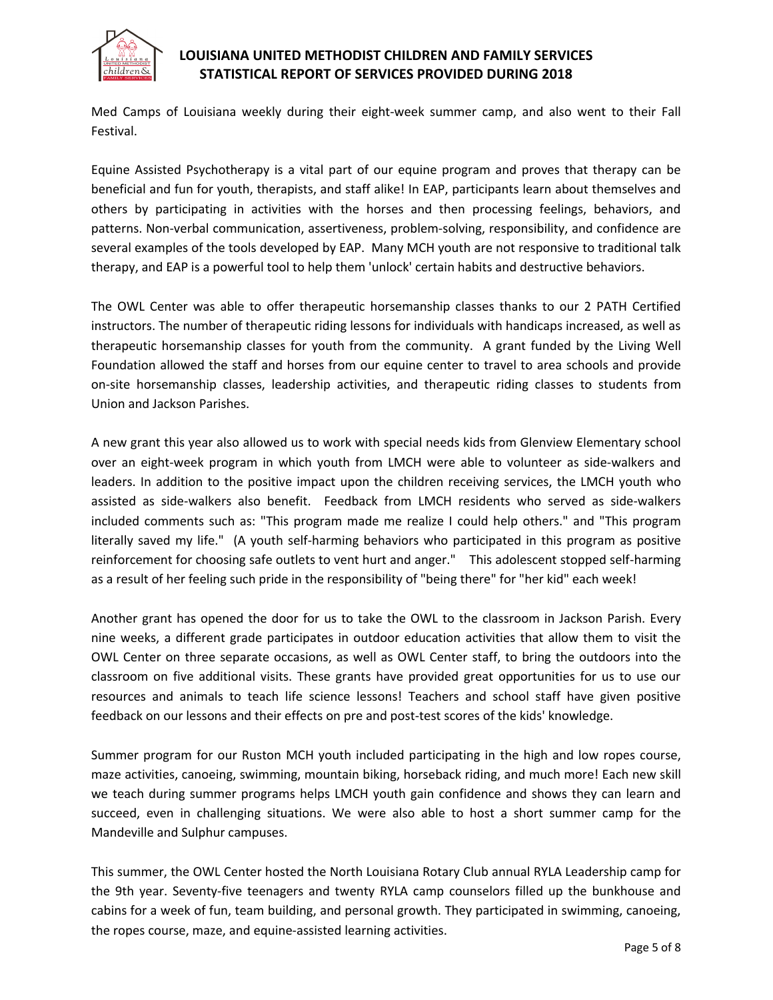

Med Camps of Louisiana weekly during their eight-week summer camp, and also went to their Fall Festival.

Equine Assisted Psychotherapy is a vital part of our equine program and proves that therapy can be beneficial and fun for youth, therapists, and staff alike! In EAP, participants learn about themselves and others by participating in activities with the horses and then processing feelings, behaviors, and patterns. Non-verbal communication, assertiveness, problem-solving, responsibility, and confidence are several examples of the tools developed by EAP. Many MCH youth are not responsive to traditional talk therapy, and EAP is a powerful tool to help them 'unlock' certain habits and destructive behaviors.

The OWL Center was able to offer therapeutic horsemanship classes thanks to our 2 PATH Certified instructors. The number of therapeutic riding lessons for individuals with handicaps increased, as well as therapeutic horsemanship classes for youth from the community. A grant funded by the Living Well Foundation allowed the staff and horses from our equine center to travel to area schools and provide on-site horsemanship classes, leadership activities, and therapeutic riding classes to students from Union and Jackson Parishes.

A new grant this year also allowed us to work with special needs kids from Glenview Elementary school over an eight-week program in which youth from LMCH were able to volunteer as side-walkers and leaders. In addition to the positive impact upon the children receiving services, the LMCH youth who assisted as side-walkers also benefit. Feedback from LMCH residents who served as side-walkers included comments such as: "This program made me realize I could help others." and "This program literally saved my life." (A youth self-harming behaviors who participated in this program as positive reinforcement for choosing safe outlets to vent hurt and anger." This adolescent stopped self-harming as a result of her feeling such pride in the responsibility of "being there" for "her kid" each week!

Another grant has opened the door for us to take the OWL to the classroom in Jackson Parish. Every nine weeks, a different grade participates in outdoor education activities that allow them to visit the OWL Center on three separate occasions, as well as OWL Center staff, to bring the outdoors into the classroom on five additional visits. These grants have provided great opportunities for us to use our resources and animals to teach life science lessons! Teachers and school staff have given positive feedback on our lessons and their effects on pre and post-test scores of the kids' knowledge.

Summer program for our Ruston MCH youth included participating in the high and low ropes course, maze activities, canoeing, swimming, mountain biking, horseback riding, and much more! Each new skill we teach during summer programs helps LMCH youth gain confidence and shows they can learn and succeed, even in challenging situations. We were also able to host a short summer camp for the Mandeville and Sulphur campuses.

This summer, the OWL Center hosted the North Louisiana Rotary Club annual RYLA Leadership camp for the 9th year. Seventy-five teenagers and twenty RYLA camp counselors filled up the bunkhouse and cabins for a week of fun, team building, and personal growth. They participated in swimming, canoeing, the ropes course, maze, and equine-assisted learning activities.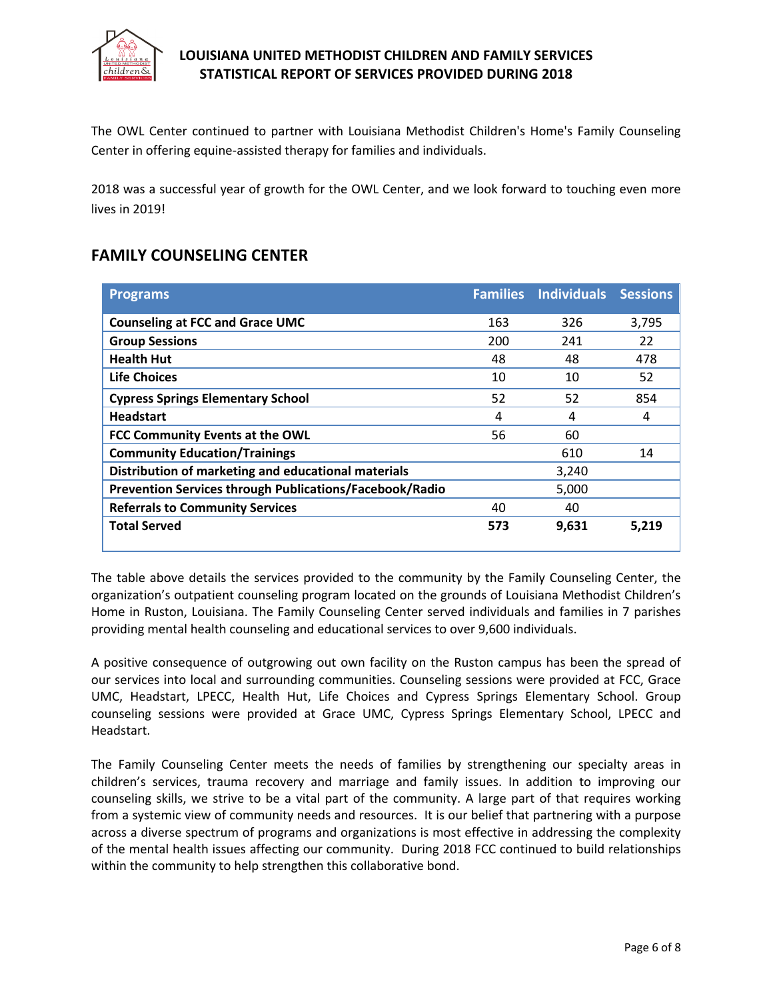

The OWL Center continued to partner with Louisiana Methodist Children's Home's Family Counseling Center in offering equine-assisted therapy for families and individuals.

2018 was a successful year of growth for the OWL Center, and we look forward to touching even more lives in 2019!

## **FAMILY COUNSELING CENTER**

| <b>Programs</b>                                                |     | <b>Families Individuals Sessions</b> |       |
|----------------------------------------------------------------|-----|--------------------------------------|-------|
| <b>Counseling at FCC and Grace UMC</b>                         | 163 | 326                                  | 3,795 |
| <b>Group Sessions</b>                                          | 200 | 241                                  | 22    |
| <b>Health Hut</b>                                              | 48  | 48                                   | 478   |
| <b>Life Choices</b>                                            | 10  | 10                                   | 52    |
| <b>Cypress Springs Elementary School</b>                       | 52  | 52                                   | 854   |
| <b>Headstart</b>                                               | 4   | 4                                    | 4     |
| FCC Community Events at the OWL                                | 56  | 60                                   |       |
| <b>Community Education/Trainings</b>                           |     | 610                                  | 14    |
| Distribution of marketing and educational materials            |     | 3,240                                |       |
| <b>Prevention Services through Publications/Facebook/Radio</b> |     | 5,000                                |       |
| <b>Referrals to Community Services</b>                         | 40  | 40                                   |       |
| <b>Total Served</b>                                            | 573 | 9,631                                | 5,219 |
|                                                                |     |                                      |       |

The table above details the services provided to the community by the Family Counseling Center, the organization's outpatient counseling program located on the grounds of Louisiana Methodist Children's Home in Ruston, Louisiana. The Family Counseling Center served individuals and families in 7 parishes providing mental health counseling and educational services to over 9,600 individuals.

A positive consequence of outgrowing out own facility on the Ruston campus has been the spread of our services into local and surrounding communities. Counseling sessions were provided at FCC, Grace UMC, Headstart, LPECC, Health Hut, Life Choices and Cypress Springs Elementary School. Group counseling sessions were provided at Grace UMC, Cypress Springs Elementary School, LPECC and Headstart.

The Family Counseling Center meets the needs of families by strengthening our specialty areas in children's services, trauma recovery and marriage and family issues. In addition to improving our counseling skills, we strive to be a vital part of the community. A large part of that requires working from a systemic view of community needs and resources. It is our belief that partnering with a purpose across a diverse spectrum of programs and organizations is most effective in addressing the complexity of the mental health issues affecting our community. During 2018 FCC continued to build relationships within the community to help strengthen this collaborative bond.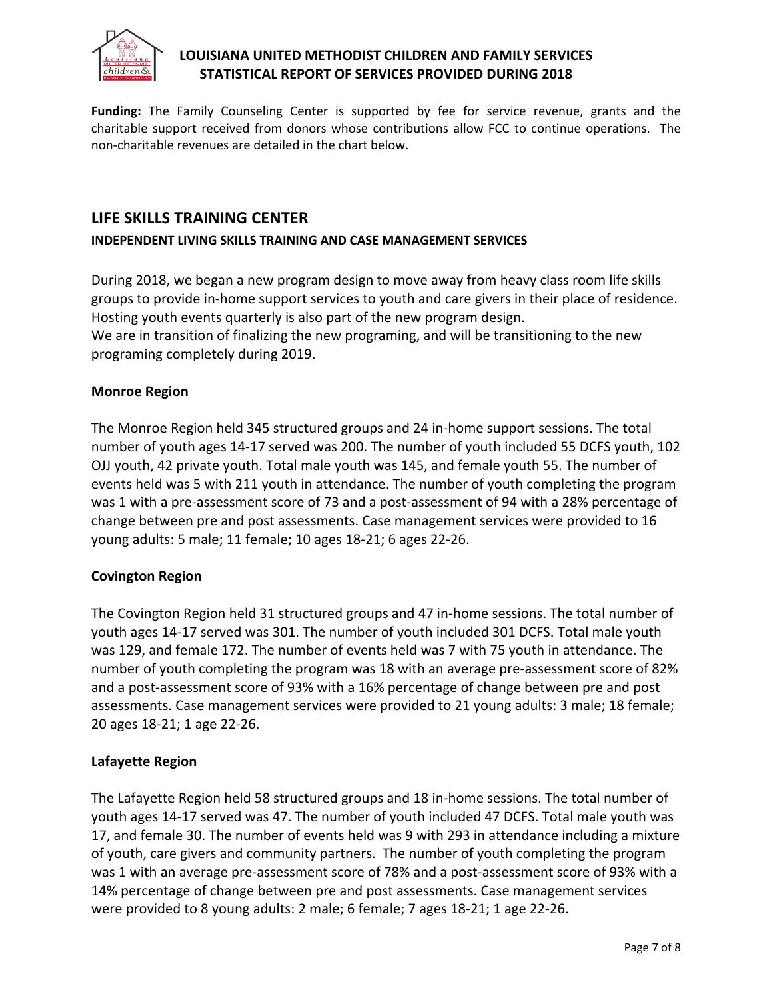

**Funding:** The Family Counseling Center is supported by fee for service revenue, grants and the charitable support received from donors whose contributions allow FCC to continue operations. The non-charitable revenues are detailed in the chart below.

## **LIFE SKILLS TRAINING CENTER**

#### **INDEPENDENT LIVING SKILLS TRAINING AND CASE MANAGEMENT SERVICES**

During 2018, we began a new program design to move away from heavy class room life skills groups to provide in-home support services to youth and care givers in their place of residence. Hosting youth events quarterly is also part of the new program design. We are in transition of finalizing the new programing, and will be transitioning to the new programing completely during 2019.

#### **Monroe Region**

The Monroe Region held 345 structured groups and 24 in-home support sessions. The total number of youth ages 14-17 served was 200. The number of youth included 55 DCFS youth, 102 OJJ youth, 42 private youth. Total male youth was 145, and female youth 55. The number of events held was 5 with 211 youth in attendance. The number of youth completing the program was 1 with a pre-assessment score of 73 and a post-assessment of 94 with a 28% percentage of change between pre and post assessments. Case management services were provided to 16 young adults: 5 male; 11 female; 10 ages 18-21; 6 ages 22-26.

### **Covington Region**

The Covington Region held 31 structured groups and 47 in-home sessions. The total number of youth ages 14-17 served was 301. The number of youth included 301 DCFS. Total male youth was 129, and female 172. The number of events held was 7 with 75 youth in attendance. The number of youth completing the program was 18 with an average pre-assessment score of 82% and a post-assessment score of 93% with a 16% percentage of change between pre and post assessments. Case management services were provided to 21 young adults: 3 male; 18 female; 20 ages 18-21; 1 age 22-26.

### **Lafayette Region**

The Lafayette Region held 58 structured groups and 18 in-home sessions. The total number of youth ages 14-17 served was 47. The number of youth included 47 DCFS. Total male youth was 17, and female 30. The number of events held was 9 with 293 in attendance including a mixture of youth, care givers and community partners. The number of youth completing the program was 1 with an average pre-assessment score of 78% and a post-assessment score of 93% with a 14% percentage of change between pre and post assessments. Case management services were provided to 8 young adults: 2 male; 6 female; 7 ages 18-21; 1 age 22-26.